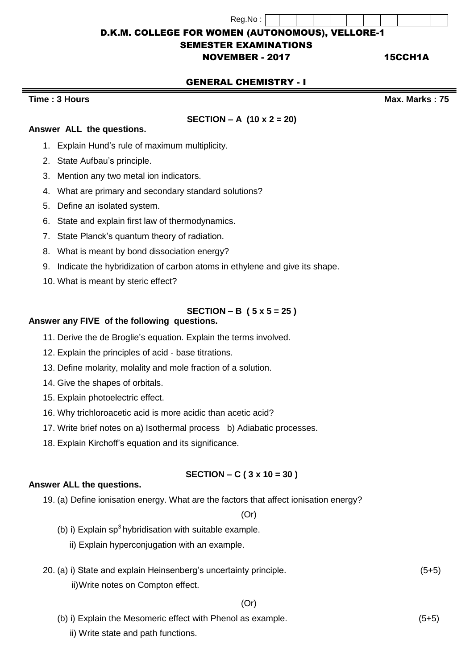Reg.No : D.K.M. COLLEGE FOR WOMEN (AUTONOMOUS), VELLORE-1

# SEMESTER EXAMINATIONS

# **NOVEMBER - 2017 15CCH1A**

# GENERAL CHEMISTRY - I

# **Time : 3 Hours Max. Marks : 75**

# **SECTION – A (10 x 2 = 20)**

# **Answer ALL the questions.**

- 1. Explain Hund's rule of maximum multiplicity.
- 2. State Aufbau's principle.
- 3. Mention any two metal ion indicators.
- 4. What are primary and secondary standard solutions?
- 5. Define an isolated system.
- 6. State and explain first law of thermodynamics.
- 7. State Planck's quantum theory of radiation.
- 8. What is meant by bond dissociation energy?
- 9. Indicate the hybridization of carbon atoms in ethylene and give its shape.
- 10. What is meant by steric effect?

# **SECTION – B ( 5 x 5 = 25 )**

### **Answer any FIVE of the following questions.**

- 11. Derive the de Broglie's equation. Explain the terms involved.
- 12. Explain the principles of acid base titrations.
- 13. Define molarity, molality and mole fraction of a solution.
- 14. Give the shapes of orbitals.
- 15. Explain photoelectric effect.
- 16. Why trichloroacetic acid is more acidic than acetic acid?
- 17. Write brief notes on a) Isothermal process b) Adiabatic processes.
- 18. Explain Kirchoff's equation and its significance.

### **SECTION – C ( 3 x 10 = 30 )**

#### **Answer ALL the questions.**

19. (a) Define ionisation energy. What are the factors that affect ionisation energy?

(Or)

- (b) i) Explain  $sp<sup>3</sup>$  hybridisation with suitable example.
	- ii) Explain hyperconjugation with an example.

#### 20. (a) i) State and explain Heinsenberg's uncertainty principle. (5+5)

ii)Write notes on Compton effect.

$$
(Or)
$$

- (b) i) Explain the Mesomeric effect with Phenol as example. (5+5)
	- ii) Write state and path functions.